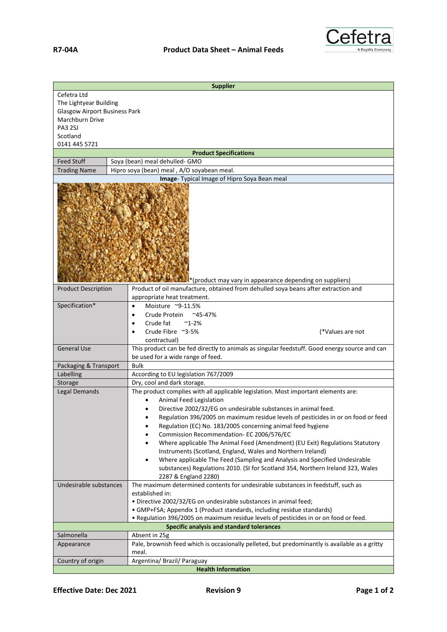

| <b>Supplier</b>                      |                                                                                                                                                  |
|--------------------------------------|--------------------------------------------------------------------------------------------------------------------------------------------------|
| Cefetra Ltd                          |                                                                                                                                                  |
| The Lightyear Building               |                                                                                                                                                  |
| <b>Glasgow Airport Business Park</b> |                                                                                                                                                  |
| Marchburn Drive                      |                                                                                                                                                  |
| <b>PA3 2SJ</b>                       |                                                                                                                                                  |
| Scotland<br>0141 445 5721            |                                                                                                                                                  |
|                                      | <b>Product Specifications</b>                                                                                                                    |
| <b>Feed Stuff</b>                    | Soya (bean) meal dehulled- GMO                                                                                                                   |
| <b>Trading Name</b>                  | Hipro soya (bean) meal, A/O soyabean meal.                                                                                                       |
|                                      | Image- Typical Image of Hipro Soya Bean meal                                                                                                     |
|                                      | *(product may vary in appearance depending on suppliers)                                                                                         |
| <b>Product Description</b>           | Product of oil manufacture, obtained from dehulled soya beans after extraction and                                                               |
|                                      | appropriate heat treatment.                                                                                                                      |
| Specification*                       | Moisture ~9-11.5%<br>$\bullet$                                                                                                                   |
|                                      | Crude Protein ~45-47%<br>$\bullet$                                                                                                               |
|                                      | Crude fat<br>$^{\sim}$ 1-2%                                                                                                                      |
|                                      | Crude Fibre ~3-5%<br>(*Values are not                                                                                                            |
|                                      | contractual)                                                                                                                                     |
| <b>General Use</b>                   | This product can be fed directly to animals as singular feedstuff. Good energy source and can                                                    |
|                                      | be used for a wide range of feed.                                                                                                                |
| Packaging & Transport                | <b>Bulk</b>                                                                                                                                      |
| Labelling                            | According to EU legislation 767/2009                                                                                                             |
| Storage                              | Dry, cool and dark storage.                                                                                                                      |
| Legal Demands                        | The product complies with all applicable legislation. Most important elements are:                                                               |
|                                      | Animal Feed Legislation                                                                                                                          |
|                                      | Directive 2002/32/EG on undesirable substances in animal feed.                                                                                   |
|                                      | Regulation 396/2005 on maximum residue levels of pesticides in or on food or feed<br>Regulation (EC) No. 183/2005 concerning animal feed hygiene |
|                                      | Commission Recommendation- EC 2006/576/EC                                                                                                        |
|                                      | Where applicable The Animal Feed (Amendment) (EU Exit) Regulations Statutory                                                                     |
|                                      | Instruments (Scotland, England, Wales and Northern Ireland)                                                                                      |
|                                      | Where applicable The Feed (Sampling and Analysis and Specified Undesirable<br>$\bullet$                                                          |
|                                      | substances) Regulations 2010. (SI for Scotland 354, Northern Ireland 323, Wales                                                                  |
|                                      | 2287 & England 2280)                                                                                                                             |
| Undesirable substances               | The maximum determined contents for undesirable substances in feedstuff, such as                                                                 |
|                                      | established in:                                                                                                                                  |
|                                      | · Directive 2002/32/EG on undesirable substances in animal feed;                                                                                 |
|                                      | • GMP+FSA; Appendix 1 (Product standards, including residue standards)                                                                           |
|                                      | . Regulation 396/2005 on maximum residue levels of pesticides in or on food or feed.                                                             |
| Salmonella                           | Specific analysis and standard tolerances<br>Absent in 25g                                                                                       |
| Appearance                           | Pale, brownish feed which is occasionally pelleted, but predominantly is available as a gritty                                                   |
|                                      | meal.                                                                                                                                            |
| Country of origin                    | Argentina/ Brazil/ Paraguay                                                                                                                      |
| <b>Health Information</b>            |                                                                                                                                                  |